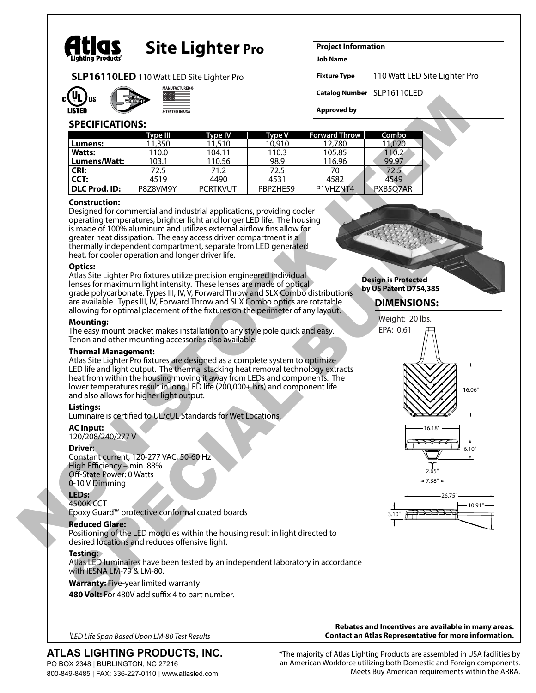

# **Site Lighter Pro**

**Project Information**

**Job Name Fixture Type**

**SLP16110LED** 110 Watt LED Site Lighter Pro





**Catalog Number** SLP16110LED **Approved by**

## **SPECIFICATIONS:**

|                      | Type III | Type IV         | <b>Type V</b> | <b>Forward Throw</b> | Combo             |
|----------------------|----------|-----------------|---------------|----------------------|-------------------|
| Lumens:              | 11,350   | 11,510          | 10,910        | 12,780               | 11.020            |
| Watts:               | 110.0    | 104.11          | 110.3         | 105.85               | 10.2 <sub>1</sub> |
| Lumens/Watt:         | 103.1    | 110.56          | 98.9          | 116.96               | 99.97             |
| <b>CRI:</b>          | 72.5     | 71.2            | 72.5          | 70                   | 72.5              |
| CCT:                 | 4519     | 4490            | 4531          | 4582                 | 4549              |
| <b>DLC Prod. ID:</b> | P8Z8VM9Y | <b>PCRTKVUT</b> | PBPZHE59      | P1VH7NT4             | PXB5O7AR          |

#### **Construction:**

Designed for commercial and industrial applications, providing cooler operating temperatures, brighter light and longer LED life. The housing is made of 100% aluminum and utilizes external airflow fins allow for greater heat dissipation. The easy access driver compartment is a thermally independent compartment, separate from LED generated heat, for cooler operation and longer driver life.

#### **Optics:**

Atlas Site Lighter Pro fixtures utilize precision engineered individual lenses for maximum light intensity. These lenses are made of optical grade polycarbonate. Types III, IV, V, Forward Throw and SLX Combo distributions are available. Types III, IV, Forward Throw and SLX Combo optics are rotatable allowing for optimal placement of the fixtures on the perimeter of any layout.

#### **Mounting:**

The easy mount bracket makes installation to any style pole quick and easy. Tenon and other mounting accessories also available.

#### **Thermal Management:**

Atlas Site Lighter Pro fixtures are designed as a complete system to optimize LED life and light output. The thermal stacking heat removal technology extracts heat from within the housing moving it away from LEDs and components. The lower temperatures result in long LED life (200,000+ hrs) and component life and also allows for higher light output.

#### **Listings:**

Luminaire is certified to UL/cUL Standards for Wet Locations.

#### **AC Input:**

120/208/240/277 V

#### **Driver:**

Constant current, 120-277 VAC, 50-60 Hz High Efficiency – min. 88% Off-State Power: 0 Watts 0-10 V Dimming

### **LEDs:**

4500K CCT Epoxy Guard™ protective conformal coated boards

#### **Reduced Glare:**

Positioning of the LED modules within the housing result in light directed to desired locations and reduces offensive light.

#### **Testing:**

Atlas LED luminaires have been tested by an independent laboratory in accordance with IESNA LM-79 & LM-80.

#### **Warranty:** Five-year limited warranty

**480 Volt:** For 480V add suffix 4 to part number.

*1LED Life Span Based Upon LM-80 Test Results*

# **ATLAS LIGHTING PRODUCTS, INC.**

PO BOX 2348 | BURLINGTON, NC 27216 800-849-8485 | FAX: 336-227-0110 | www.atlasled.com

**Rebates and Incentives are available in many areas. Contact an Atlas Representative for more information.**

\*The majority of Atlas Lighting Products are assembled in USA facilities by an American Workforce utilizing both Domestic and Foreign components. Meets Buy American requirements within the ARRA.



# **DIMENSIONS:**

110 Watt LED Site Lighter Pro